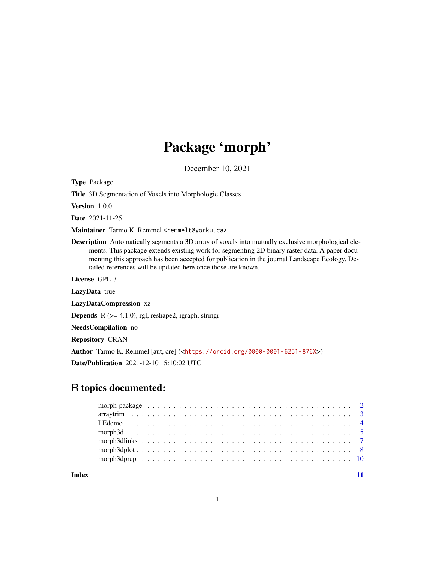## Package 'morph'

December 10, 2021

<span id="page-0-0"></span>Type Package

Title 3D Segmentation of Voxels into Morphologic Classes

Version 1.0.0

Date 2021-11-25

Maintainer Tarmo K. Remmel <remmelt@yorku.ca>

Description Automatically segments a 3D array of voxels into mutually exclusive morphological elements. This package extends existing work for segmenting 2D binary raster data. A paper documenting this approach has been accepted for publication in the journal Landscape Ecology. Detailed references will be updated here once those are known.

License GPL-3

LazyData true

LazyDataCompression xz

**Depends**  $R$  ( $>= 4.1.0$ ), rgl, reshape2, igraph, stringr

NeedsCompilation no

Repository CRAN

Author Tarmo K. Remmel [aut, cre] (<<https://orcid.org/0000-0001-6251-876X>>)

Date/Publication 2021-12-10 15:10:02 UTC

## R topics documented:

**Index** [11](#page-10-0)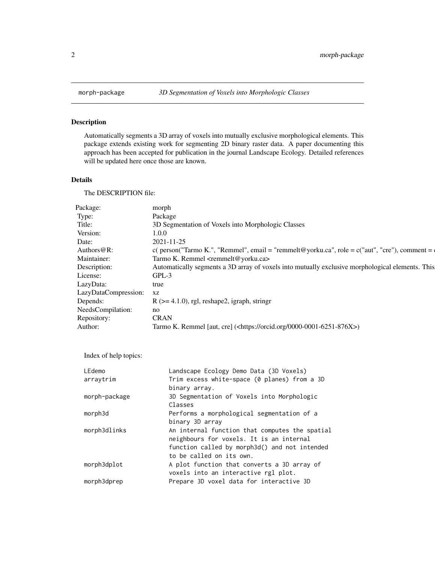## Description

Automatically segments a 3D array of voxels into mutually exclusive morphological elements. This package extends existing work for segmenting 2D binary raster data. A paper documenting this approach has been accepted for publication in the journal Landscape Ecology. Detailed references will be updated here once those are known.

## Details

The DESCRIPTION file:

| Package:                | morph                                                                                                       |
|-------------------------|-------------------------------------------------------------------------------------------------------------|
| Type:                   | Package                                                                                                     |
| Title:                  | 3D Segmentation of Voxels into Morphologic Classes                                                          |
| Version:                | 1.0.0                                                                                                       |
| Date:                   | 2021-11-25                                                                                                  |
| Authors@R:              | c( person("Tarmo K.", "Remmel", email = "remmelt@yorku.ca", role = $c$ ("aut", "cre"), comment = $\epsilon$ |
| Maintainer:             | Tarmo K. Remmel <remmelt@yorku.ca></remmelt@yorku.ca>                                                       |
| Description:            | Automatically segments a 3D array of voxels into mutually exclusive morphological elements. This            |
| License:                | GPL-3                                                                                                       |
| LazyData:               | true                                                                                                        |
| LazyDataCompression: xz |                                                                                                             |
| Depends:                | $R$ ( $\geq$ = 4.1.0), rgl, reshape2, igraph, stringr                                                       |
| NeedsCompilation:       | no                                                                                                          |
| Repository:             | <b>CRAN</b>                                                                                                 |
| Author:                 | Tarmo K. Remmel [aut, cre] ( <https: 0000-0001-6251-876x="" orcid.org="">)</https:>                         |
|                         |                                                                                                             |

Index of help topics:

| LEdemo        | Landscape Ecology Demo Data (3D Voxels)        |
|---------------|------------------------------------------------|
| arraytrim     | Trim excess white-space (0 planes) from a 3D   |
|               | binary array.                                  |
| morph-package | 3D Segmentation of Voxels into Morphologic     |
|               | Classes                                        |
| morph3d       | Performs a morphological segmentation of a     |
|               | binary 3D array                                |
| morph3dlinks  | An internal function that computes the spatial |
|               | neighbours for voxels. It is an internal       |
|               | function called by morph3d() and not intended  |
|               | to be called on its own.                       |
| morph3dplot   | A plot function that converts a 3D array of    |
|               | voxels into an interactive rgl plot.           |
| morph3dprep   | Prepare 3D voxel data for interactive 3D       |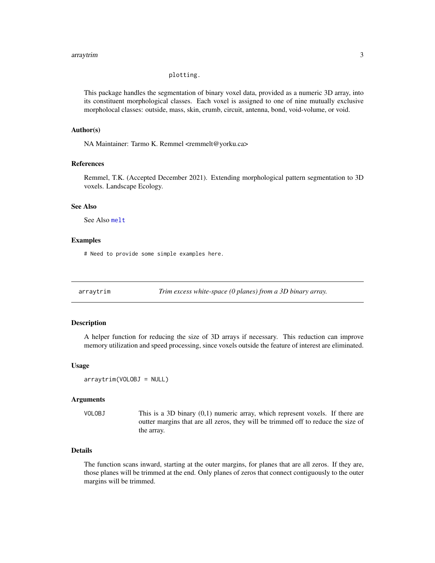#### <span id="page-2-0"></span>arraytrim 3

## plotting.

This package handles the segmentation of binary voxel data, provided as a numeric 3D array, into its constituent morphological classes. Each voxel is assigned to one of nine mutually exclusive morpholocal classes: outside, mass, skin, crumb, circuit, antenna, bond, void-volume, or void.

#### Author(s)

NA Maintainer: Tarmo K. Remmel <remmelt@yorku.ca>

## References

Remmel, T.K. (Accepted December 2021). Extending morphological pattern segmentation to 3D voxels. Landscape Ecology.

## See Also

See Also [melt](#page-0-0)

#### Examples

# Need to provide some simple examples here.

arraytrim *Trim excess white-space (0 planes) from a 3D binary array.*

#### Description

A helper function for reducing the size of 3D arrays if necessary. This reduction can improve memory utilization and speed processing, since voxels outside the feature of interest are eliminated.

#### Usage

```
arraytrim(VOLOBJ = NULL)
```
#### Arguments

VOLOBJ This is a 3D binary (0,1) numeric array, which represent voxels. If there are outter margins that are all zeros, they will be trimmed off to reduce the size of the array.

#### Details

The function scans inward, starting at the outer margins, for planes that are all zeros. If they are, those planes will be trimmed at the end. Only planes of zeros that connect contiguously to the outer margins will be trimmed.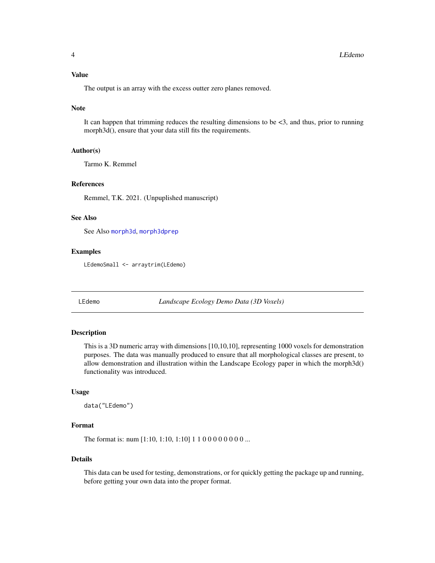## <span id="page-3-0"></span>Value

The output is an array with the excess outter zero planes removed.

#### Note

It can happen that trimming reduces the resulting dimensions to be <3, and thus, prior to running morph3d(), ensure that your data still fits the requirements.

#### Author(s)

Tarmo K. Remmel

## References

Remmel, T.K. 2021. (Unpuplished manuscript)

#### See Also

See Also [morph3d](#page-4-1), [morph3dprep](#page-9-1)

#### Examples

LEdemoSmall <- arraytrim(LEdemo)

LEdemo *Landscape Ecology Demo Data (3D Voxels)*

## Description

This is a 3D numeric array with dimensions [10,10,10], representing 1000 voxels for demonstration purposes. The data was manually produced to ensure that all morphological classes are present, to allow demonstration and illustration within the Landscape Ecology paper in which the morph3d() functionality was introduced.

#### Usage

data("LEdemo")

## Format

The format is: num [1:10, 1:10, 1:10] 1 1 0 0 0 0 0 0 0 0 ...

#### Details

This data can be used for testing, demonstrations, or for quickly getting the package up and running, before getting your own data into the proper format.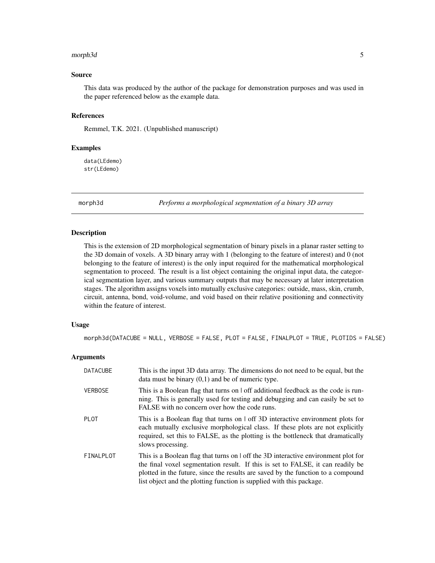#### <span id="page-4-0"></span>morph3d 55 September 2014 September 2014 September 2014 September 2014 September 2014 September 2014 September 2014 September 2014 September 2014 September 2014 September 2014 September 2014 September 2014 September 2014 S

#### Source

This data was produced by the author of the package for demonstration purposes and was used in the paper referenced below as the example data.

#### References

Remmel, T.K. 2021. (Unpublished manuscript)

## Examples

data(LEdemo) str(LEdemo)

<span id="page-4-1"></span>morph3d *Performs a morphological segmentation of a binary 3D array*

#### Description

This is the extension of 2D morphological segmentation of binary pixels in a planar raster setting to the 3D domain of voxels. A 3D binary array with 1 (belonging to the feature of interest) and 0 (not belonging to the feature of interest) is the only input required for the mathematical morphological segmentation to proceed. The result is a list object containing the original input data, the categorical segmentation layer, and various summary outputs that may be necessary at later interpretation stages. The algorithm assigns voxels into mutually exclusive categories: outside, mass, skin, crumb, circuit, antenna, bond, void-volume, and void based on their relative positioning and connectivity within the feature of interest.

#### Usage

morph3d(DATACUBE = NULL, VERBOSE = FALSE, PLOT = FALSE, FINALPLOT = TRUE, PLOTIDS = FALSE)

#### **Arguments**

| <b>DATACUBE</b> | This is the input 3D data array. The dimensions do not need to be equal, but the<br>data must be binary $(0,1)$ and be of numeric type.                                                                                                                                                                                                 |
|-----------------|-----------------------------------------------------------------------------------------------------------------------------------------------------------------------------------------------------------------------------------------------------------------------------------------------------------------------------------------|
| <b>VERBOSE</b>  | This is a Boolean flag that turns on off additional feedback as the code is run-<br>ning. This is generally used for testing and debugging and can easily be set to<br>FALSE with no concern over how the code runs.                                                                                                                    |
| PLOT            | This is a Boolean flag that turns on $\vert$ off 3D interactive environment plots for<br>each mutually exclusive morphological class. If these plots are not explicitly<br>required, set this to FALSE, as the plotting is the bottleneck that dramatically<br>slows processing.                                                        |
| FINALPLOT       | This is a Boolean flag that turns on $\vert$ off the 3D interactive environment plot for<br>the final voxel segmentation result. If this is set to FALSE, it can readily be<br>plotted in the future, since the results are saved by the function to a compound<br>list object and the plotting function is supplied with this package. |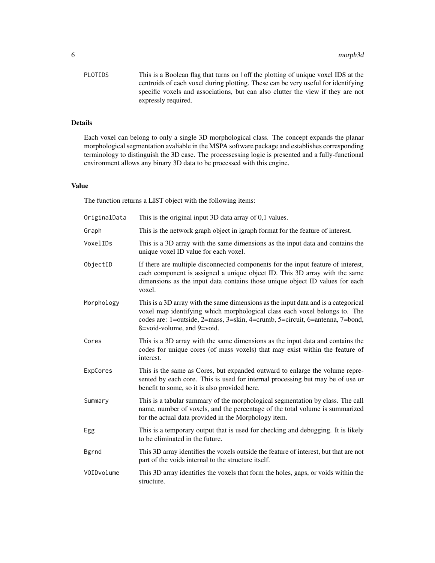PLOTIDS This is a Boolean flag that turns on  $\vert$  off the plotting of unique voxel IDS at the centroids of each voxel during plotting. These can be very useful for identifying specific voxels and associations, but can also clutter the view if they are not expressly required.

## Details

Each voxel can belong to only a single 3D morphological class. The concept expands the planar morphological segmentation avaliable in the MSPA software package and establishes corresponding terminology to distinguish the 3D case. The processessing logic is presented and a fully-functional environment allows any binary 3D data to be processed with this engine.

#### Value

The function returns a LIST object with the following items:

| OriginalData | This is the original input 3D data array of 0,1 values.                                                                                                                                                                                                                        |
|--------------|--------------------------------------------------------------------------------------------------------------------------------------------------------------------------------------------------------------------------------------------------------------------------------|
| Graph        | This is the network graph object in igraph format for the feature of interest.                                                                                                                                                                                                 |
| VoxelIDs     | This is a 3D array with the same dimensions as the input data and contains the<br>unique voxel ID value for each voxel.                                                                                                                                                        |
| ObjectID     | If there are multiple disconnected components for the input feature of interest,<br>each component is assigned a unique object ID. This 3D array with the same<br>dimensions as the input data contains those unique object ID values for each<br>voxel.                       |
| Morphology   | This is a 3D array with the same dimensions as the input data and is a categorical<br>voxel map identifying which morphological class each voxel belongs to. The<br>codes are: 1=outside, 2=mass, 3=skin, 4=crumb, 5=circuit, 6=antenna, 7=bond,<br>8=void-volume, and 9=void. |
| Cores        | This is a 3D array with the same dimensions as the input data and contains the<br>codes for unique cores (of mass voxels) that may exist within the feature of<br>interest.                                                                                                    |
| ExpCores     | This is the same as Cores, but expanded outward to enlarge the volume repre-<br>sented by each core. This is used for internal processing but may be of use or<br>benefit to some, so it is also provided here.                                                                |
| Summary      | This is a tabular summary of the morphological segmentation by class. The call<br>name, number of voxels, and the percentage of the total volume is summarized<br>for the actual data provided in the Morphology item.                                                         |
| Egg          | This is a temporary output that is used for checking and debugging. It is likely<br>to be eliminated in the future.                                                                                                                                                            |
| Bgrnd        | This 3D array identifies the voxels outside the feature of interest, but that are not<br>part of the voids internal to the structure itself.                                                                                                                                   |
| VOIDvolume   | This 3D array identifies the voxels that form the holes, gaps, or voids within the<br>structure.                                                                                                                                                                               |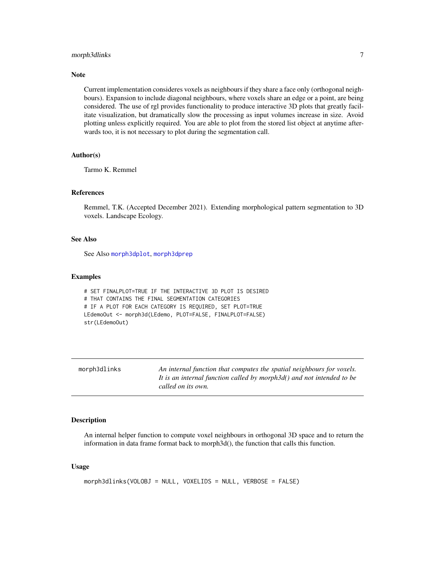## <span id="page-6-0"></span>morph3dlinks 7

#### Note

Current implementation consideres voxels as neighbours if they share a face only (orthogonal neighbours). Expansion to include diagonal neighbours, where voxels share an edge or a point, are being considered. The use of rgl provides functionality to produce interactive 3D plots that greatly facilitate visualization, but dramatically slow the processing as input volumes increase in size. Avoid plotting unless explicitly required. You are able to plot from the stored list object at anytime afterwards too, it is not necessary to plot during the segmentation call.

#### Author(s)

Tarmo K. Remmel

#### References

Remmel, T.K. (Accepted December 2021). Extending morphological pattern segmentation to 3D voxels. Landscape Ecology.

## See Also

See Also [morph3dplot](#page-7-1), [morph3dprep](#page-9-1)

#### Examples

```
# SET FINALPLOT=TRUE IF THE INTERACTIVE 3D PLOT IS DESIRED
# THAT CONTAINS THE FINAL SEGMENTATION CATEGORIES
# IF A PLOT FOR EACH CATEGORY IS REQUIRED, SET PLOT=TRUE
LEdemoOut <- morph3d(LEdemo, PLOT=FALSE, FINALPLOT=FALSE)
str(LEdemoOut)
```

| morph3dlinks | An internal function that computes the spatial neighbours for voxels.<br>It is an internal function called by morph $3d()$ and not intended to be<br>called on its own. |
|--------------|-------------------------------------------------------------------------------------------------------------------------------------------------------------------------|
|              |                                                                                                                                                                         |

#### Description

An internal helper function to compute voxel neighbours in orthogonal 3D space and to return the information in data frame format back to morph3d(), the function that calls this function.

#### Usage

```
morph3dlinks(VOLOBJ = NULL, VOXELIDS = NULL, VERBOSE = FALSE)
```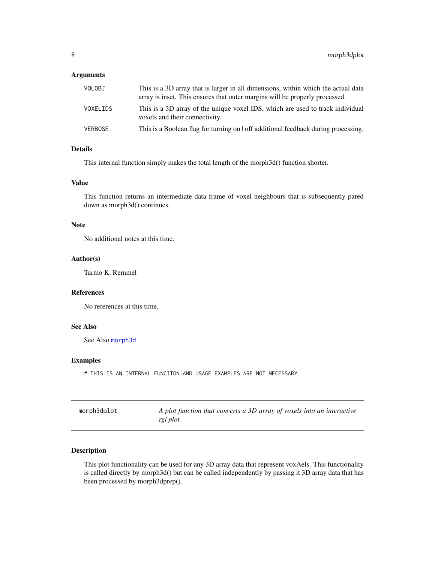## <span id="page-7-0"></span>Arguments

| VOLOBJ   | This is a 3D array that is larger in all dimensions, within which the actual data<br>array is inset. This ensures that outer margins will be properly processed. |
|----------|------------------------------------------------------------------------------------------------------------------------------------------------------------------|
| VOXELIDS | This is a 3D array of the unique voxel IDS, which are used to track individual<br>voxels and their connectivity.                                                 |
| VERBOSE  | This is a Boolean flag for turning on $\vert$ off additional feedback during processing.                                                                         |

## Details

This internal function simply makes the total length of the morph3d() function shorter.

#### Value

This function returns an intermediate data frame of voxel neighbours that is subsequently pared down as morph3d() continues.

#### Note

No additional notes at this time.

## Author(s)

Tarmo K. Remmel

## References

No references at this time.

## See Also

See Also [morph3d](#page-4-1)

## Examples

# THIS IS AN INTERNAL FUNCITON AND USAGE EXAMPLES ARE NOT NECESSARY

<span id="page-7-1"></span>

| morph3dplot | A plot function that converts a 3D array of voxels into an interactive |
|-------------|------------------------------------------------------------------------|
|             | rgl plot.                                                              |

## Description

This plot functionality can be used for any 3D array data that represent voxAels. This functionality is called directly by morph3d() but can be called independently by passing it 3D array data that has been processed by morph3dprep().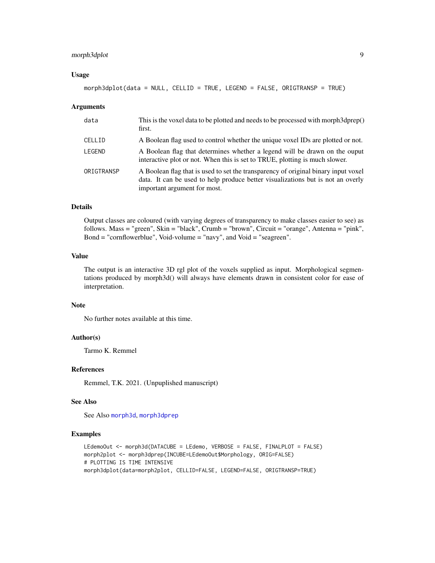## <span id="page-8-0"></span>morph3dplot 9

#### Usage

```
morph3dplot(data = NULL, CELLID = TRUE, LEGEND = FALSE, ORIGTRANSP = TRUE)
```
#### Arguments

| data       | This is the voxel data to be plotted and needs to be processed with morph3dprep()<br>first.                                                                                                           |
|------------|-------------------------------------------------------------------------------------------------------------------------------------------------------------------------------------------------------|
| CELLID     | A Boolean flag used to control whether the unique voxel IDs are plotted or not.                                                                                                                       |
| LEGEND     | A Boolean flag that determines whether a legend will be drawn on the ouput<br>interactive plot or not. When this is set to TRUE, plotting is much slower.                                             |
| ORIGTRANSP | A Boolean flag that is used to set the transparency of original binary input voxel<br>data. It can be used to help produce better visualizations but is not an overly<br>important argument for most. |

## Details

Output classes are coloured (with varying degrees of transparency to make classes easier to see) as follows. Mass = "green", Skin = "black", Crumb = "brown", Circuit = "orange", Antenna = "pink", Bond = "cornflowerblue", Void-volume = "navy", and Void = "seagreen".

#### Value

The output is an interactive 3D rgl plot of the voxels supplied as input. Morphological segmentations produced by morph3d() will always have elements drawn in consistent color for ease of interpretation.

## Note

No further notes available at this time.

#### Author(s)

Tarmo K. Remmel

#### References

Remmel, T.K. 2021. (Unpuplished manuscript)

#### See Also

See Also [morph3d](#page-4-1), [morph3dprep](#page-9-1)

## Examples

```
LEdemoOut <- morph3d(DATACUBE = LEdemo, VERBOSE = FALSE, FINALPLOT = FALSE)
morph2plot <- morph3dprep(INCUBE=LEdemoOut$Morphology, ORIG=FALSE)
# PLOTTING IS TIME INTENSIVE
morph3dplot(data=morph2plot, CELLID=FALSE, LEGEND=FALSE, ORIGTRANSP=TRUE)
```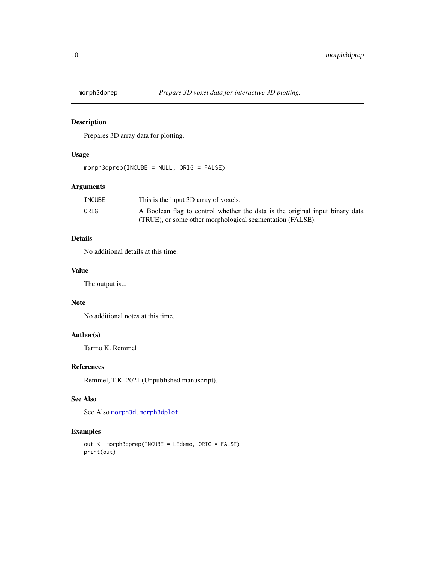<span id="page-9-1"></span><span id="page-9-0"></span>

## Description

Prepares 3D array data for plotting.

## Usage

morph3dprep(INCUBE = NULL, ORIG = FALSE)

## Arguments

| INCUBE | This is the input 3D array of voxels.                                        |
|--------|------------------------------------------------------------------------------|
| ORIG   | A Boolean flag to control whether the data is the original input binary data |
|        | (TRUE), or some other morphological segmentation (FALSE).                    |

## Details

No additional details at this time.

## Value

The output is...

## Note

No additional notes at this time.

## Author(s)

Tarmo K. Remmel

## References

Remmel, T.K. 2021 (Unpublished manuscript).

#### See Also

See Also [morph3d](#page-4-1), [morph3dplot](#page-7-1)

#### Examples

```
out <- morph3dprep(INCUBE = LEdemo, ORIG = FALSE)
print(out)
```